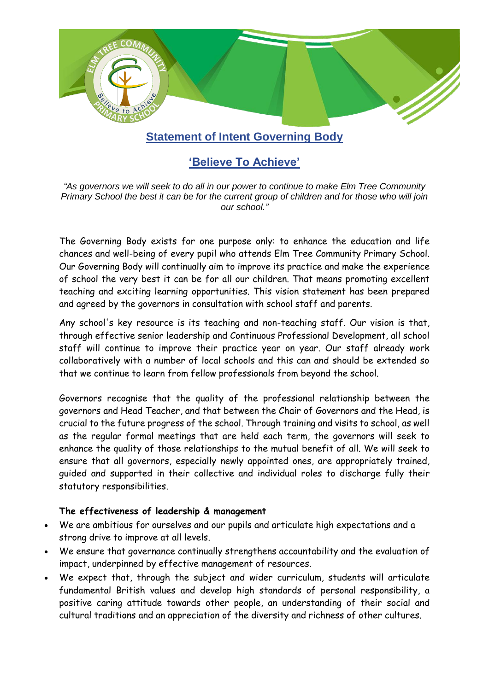

## **Statement of Intent Governing Body**

# **'Believe To Achieve'**

*"As governors we will seek to do all in our power to continue to make Elm Tree Community Primary School the best it can be for the current group of children and for those who will join our school."*

The Governing Body exists for one purpose only: to enhance the education and life chances and well-being of every pupil who attends Elm Tree Community Primary School. Our Governing Body will continually aim to improve its practice and make the experience of school the very best it can be for all our children. That means promoting excellent teaching and exciting learning opportunities. This vision statement has been prepared and agreed by the governors in consultation with school staff and parents.

Any school's key resource is its teaching and non-teaching staff. Our vision is that, through effective senior leadership and Continuous Professional Development, all school staff will continue to improve their practice year on year. Our staff already work collaboratively with a number of local schools and this can and should be extended so that we continue to learn from fellow professionals from beyond the school.

Governors recognise that the quality of the professional relationship between the governors and Head Teacher, and that between the Chair of Governors and the Head, is crucial to the future progress of the school. Through training and visits to school, as well as the regular formal meetings that are held each term, the governors will seek to enhance the quality of those relationships to the mutual benefit of all. We will seek to ensure that all governors, especially newly appointed ones, are appropriately trained, guided and supported in their collective and individual roles to discharge fully their statutory responsibilities.

#### **The effectiveness of leadership & management**

- We are ambitious for ourselves and our pupils and articulate high expectations and a strong drive to improve at all levels.
- We ensure that governance continually strengthens accountability and the evaluation of impact, underpinned by effective management of resources.
- We expect that, through the subject and wider curriculum, students will articulate fundamental British values and develop high standards of personal responsibility, a positive caring attitude towards other people, an understanding of their social and cultural traditions and an appreciation of the diversity and richness of other cultures.